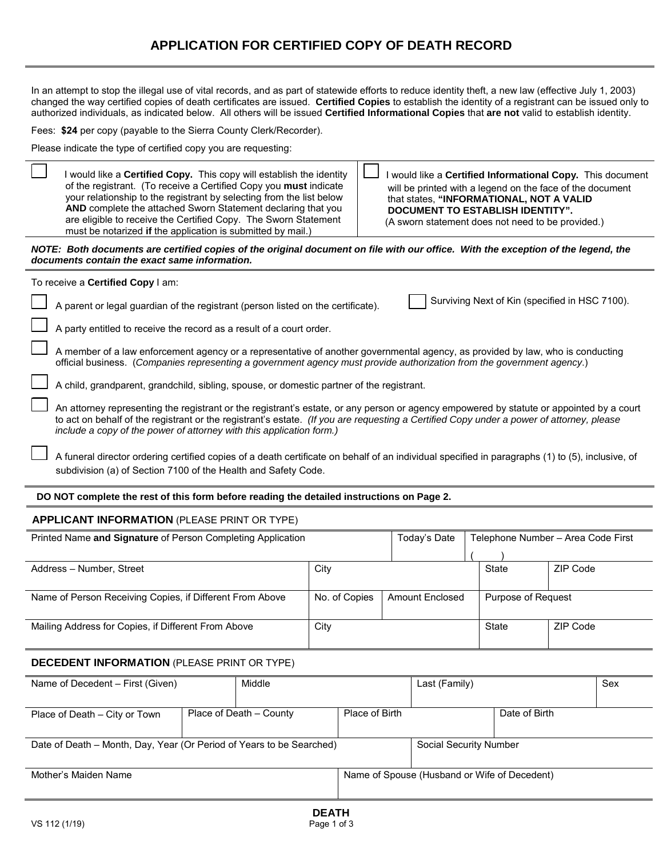## **APPLICATION FOR CERTIFIED COPY OF DEATH RECORD**

In an attempt to stop the illegal use of vital records, and as part of statewide efforts to reduce identity theft, a new law (effective July 1, 2003) changed the way certified copies of death certificates are issued. **Certified Copies** to establish the identity of a registrant can be issued only to authorized individuals, as indicated below. All others will be issued **Certified Informational Copies** that **are not** valid to establish identity.

Fees: **\$24** per copy (payable to the Sierra County Clerk/Recorder).

Please indicate the type of certified copy you are requesting:

| I would like a Certified Copy. This copy will establish the identity<br>of the registrant. (To receive a Certified Copy you must indicate<br>your relationship to the registrant by selecting from the list below<br>AND complete the attached Sworn Statement declaring that you<br>are eligible to receive the Certified Copy. The Sworn Statement<br>must be notarized if the application is submitted by mail.) |  |                         |                 |              |               | I would like a Certified Informational Copy. This document<br>will be printed with a legend on the face of the document<br>that states, "INFORMATIONAL, NOT A VALID<br><b>DOCUMENT TO ESTABLISH IDENTITY".</b><br>(A sworn statement does not need to be provided.) |          |     |
|---------------------------------------------------------------------------------------------------------------------------------------------------------------------------------------------------------------------------------------------------------------------------------------------------------------------------------------------------------------------------------------------------------------------|--|-------------------------|-----------------|--------------|---------------|---------------------------------------------------------------------------------------------------------------------------------------------------------------------------------------------------------------------------------------------------------------------|----------|-----|
| NOTE: Both documents are certified copies of the original document on file with our office. With the exception of the legend, the<br>documents contain the exact same information.                                                                                                                                                                                                                                  |  |                         |                 |              |               |                                                                                                                                                                                                                                                                     |          |     |
| To receive a Certified Copy I am:                                                                                                                                                                                                                                                                                                                                                                                   |  |                         |                 |              |               |                                                                                                                                                                                                                                                                     |          |     |
| A parent or legal guardian of the registrant (person listed on the certificate).                                                                                                                                                                                                                                                                                                                                    |  |                         |                 |              |               | Surviving Next of Kin (specified in HSC 7100).                                                                                                                                                                                                                      |          |     |
| A party entitled to receive the record as a result of a court order.                                                                                                                                                                                                                                                                                                                                                |  |                         |                 |              |               |                                                                                                                                                                                                                                                                     |          |     |
| A member of a law enforcement agency or a representative of another governmental agency, as provided by law, who is conducting<br>official business. (Companies representing a government agency must provide authorization from the government agency.)                                                                                                                                                            |  |                         |                 |              |               |                                                                                                                                                                                                                                                                     |          |     |
| A child, grandparent, grandchild, sibling, spouse, or domestic partner of the registrant.                                                                                                                                                                                                                                                                                                                           |  |                         |                 |              |               |                                                                                                                                                                                                                                                                     |          |     |
| An attorney representing the registrant or the registrant's estate, or any person or agency empowered by statute or appointed by a court<br>to act on behalf of the registrant or the registrant's estate. (If you are requesting a Certified Copy under a power of attorney, please<br>include a copy of the power of attorney with this application form.)                                                        |  |                         |                 |              |               |                                                                                                                                                                                                                                                                     |          |     |
| A funeral director ordering certified copies of a death certificate on behalf of an individual specified in paragraphs (1) to (5), inclusive, of<br>subdivision (a) of Section 7100 of the Health and Safety Code.                                                                                                                                                                                                  |  |                         |                 |              |               |                                                                                                                                                                                                                                                                     |          |     |
| DO NOT complete the rest of this form before reading the detailed instructions on Page 2.                                                                                                                                                                                                                                                                                                                           |  |                         |                 |              |               |                                                                                                                                                                                                                                                                     |          |     |
| <b>APPLICANT INFORMATION (PLEASE PRINT OR TYPE)</b>                                                                                                                                                                                                                                                                                                                                                                 |  |                         |                 |              |               |                                                                                                                                                                                                                                                                     |          |     |
| Printed Name and Signature of Person Completing Application                                                                                                                                                                                                                                                                                                                                                         |  |                         |                 |              | Today's Date  | Telephone Number - Area Code First                                                                                                                                                                                                                                  |          |     |
| Address - Number, Street                                                                                                                                                                                                                                                                                                                                                                                            |  |                         | City            |              |               | <b>State</b>                                                                                                                                                                                                                                                        | ZIP Code |     |
| Name of Person Receiving Copies, if Different From Above                                                                                                                                                                                                                                                                                                                                                            |  | No. of Copies           | Amount Enclosed |              |               | Purpose of Request                                                                                                                                                                                                                                                  |          |     |
| Mailing Address for Copies, if Different From Above                                                                                                                                                                                                                                                                                                                                                                 |  | City                    |                 | <b>State</b> |               | ZIP Code                                                                                                                                                                                                                                                            |          |     |
| <b>DECEDENT INFORMATION (PLEASE PRINT OR TYPE)</b>                                                                                                                                                                                                                                                                                                                                                                  |  |                         |                 |              |               |                                                                                                                                                                                                                                                                     |          |     |
| Middle<br>Name of Decedent - First (Given)                                                                                                                                                                                                                                                                                                                                                                          |  |                         |                 |              | Last (Family) |                                                                                                                                                                                                                                                                     |          | Sex |
| Place of Death - City or Town                                                                                                                                                                                                                                                                                                                                                                                       |  | Place of Death - County | Place of Birth  |              |               | Date of Birth                                                                                                                                                                                                                                                       |          |     |

| Date of Death – Month, Day, Year (Or Period of Years to be Searched) |  | Social Security Number                       |  |  |
|----------------------------------------------------------------------|--|----------------------------------------------|--|--|
|                                                                      |  |                                              |  |  |
| Mother's Maiden Name                                                 |  | Name of Spouse (Husband or Wife of Decedent) |  |  |
|                                                                      |  |                                              |  |  |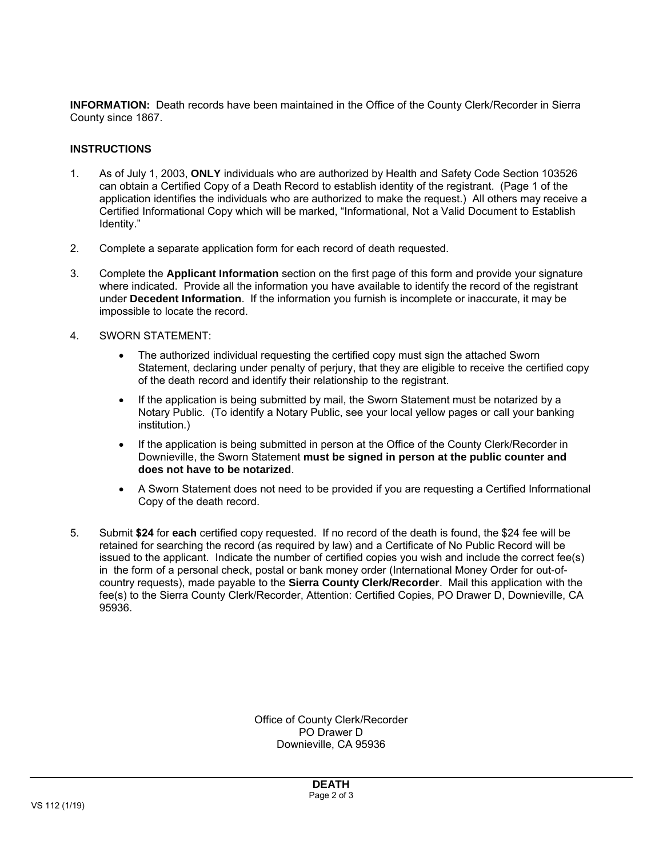**INFORMATION:** Death records have been maintained in the Office of the County Clerk/Recorder in Sierra County since 1867.

## **INSTRUCTIONS**

- 1. As of July 1, 2003, **ONLY** individuals who are authorized by Health and Safety Code Section 103526 can obtain a Certified Copy of a Death Record to establish identity of the registrant. (Page 1 of the application identifies the individuals who are authorized to make the request.) All others may receive a Certified Informational Copy which will be marked, "Informational, Not a Valid Document to Establish Identity."
- 2. Complete a separate application form for each record of death requested.
- 3. Complete the **Applicant Information** section on the first page of this form and provide your signature where indicated. Provide all the information you have available to identify the record of the registrant under **Decedent Information**. If the information you furnish is incomplete or inaccurate, it may be impossible to locate the record.
- 4. SWORN STATEMENT:
	- The authorized individual requesting the certified copy must sign the attached Sworn Statement, declaring under penalty of perjury, that they are eligible to receive the certified copy of the death record and identify their relationship to the registrant.
	- If the application is being submitted by mail, the Sworn Statement must be notarized by a Notary Public. (To identify a Notary Public, see your local yellow pages or call your banking institution.)
	- If the application is being submitted in person at the Office of the County Clerk/Recorder in Downieville, the Sworn Statement **must be signed in person at the public counter and does not have to be notarized**.
	- A Sworn Statement does not need to be provided if you are requesting a Certified Informational Copy of the death record.
- 5. Submit **\$24** for **each** certified copy requested. If no record of the death is found, the \$24 fee will be retained for searching the record (as required by law) and a Certificate of No Public Record will be issued to the applicant. Indicate the number of certified copies you wish and include the correct fee(s) in the form of a personal check, postal or bank money order (International Money Order for out-ofcountry requests), made payable to the **Sierra County Clerk/Recorder**. Mail this application with the fee(s) to the Sierra County Clerk/Recorder, Attention: Certified Copies, PO Drawer D, Downieville, CA 95936.

Office of County Clerk/Recorder PO Drawer D Downieville, CA 95936